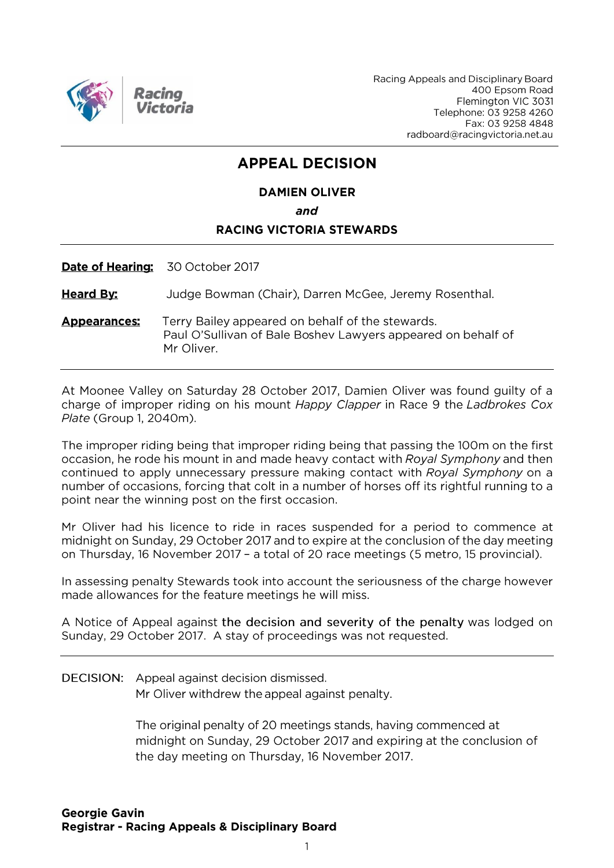

Racing Appeals and Disciplinary Board 400 Epsom Road Flemington VIC 3031 Telephone: 03 9258 4260 Fax: 03 9258 4848 radboard@racingvictoria.net.au

## **APPEAL DECISION**

### **DAMIEN OLIVER** and **RACING VICTORIA STEWARDS**

Date of Hearing: 30 October 2017

**Heard By:** Judge Bowman (Chair), Darren McGee, Jeremy Rosenthal.

Terry Bailey appeared on behalf of the stewards. **Appearances:** Paul O'Sullivan of Bale Boshev Lawyers appeared on behalf of Mr Oliver.

At Moonee Valley on Saturday 28 October 2017, Damien Oliver was found quilty of a charge of improper riding on his mount Happy Clapper in Race 9 the Ladbrokes Cox Plate (Group 1, 2040m).

The improper riding being that improper riding being that passing the 100m on the first occasion, he rode his mount in and made heavy contact with Royal Symphony and then continued to apply unnecessary pressure making contact with Royal Symphony on a number of occasions, forcing that colt in a number of horses off its rightful running to a point near the winning post on the first occasion.

Mr Oliver had his licence to ride in races suspended for a period to commence at midnight on Sunday, 29 October 2017 and to expire at the conclusion of the day meeting on Thursday, 16 November 2017 - a total of 20 race meetings (5 metro, 15 provincial).

In assessing penalty Stewards took into account the seriousness of the charge however made allowances for the feature meetings he will miss.

A Notice of Appeal against the decision and severity of the penalty was lodged on Sunday, 29 October 2017. A stay of proceedings was not requested.

DECISION: Appeal against decision dismissed.

Mr Oliver withdrew the appeal against penalty.

The original penalty of 20 meetings stands, having commenced at midnight on Sunday, 29 October 2017 and expiring at the conclusion of the day meeting on Thursday, 16 November 2017.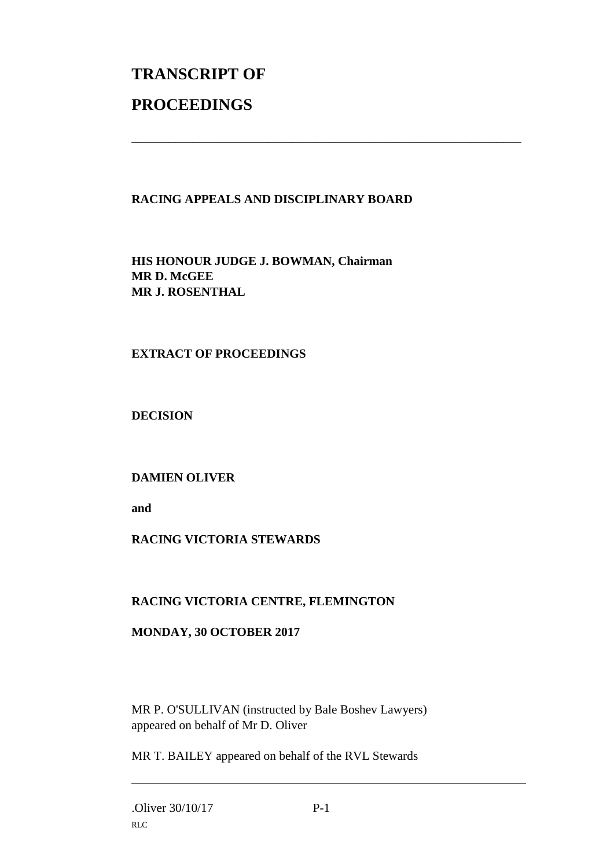# **TRANSCRIPT OF PROCEEDINGS**

#### **RACING APPEALS AND DISCIPLINARY BOARD**

\_\_\_\_\_\_\_\_\_\_\_\_\_\_\_\_\_\_\_\_\_\_\_\_\_\_\_\_\_\_\_\_\_\_\_\_\_\_\_\_\_\_\_\_\_\_\_\_\_\_\_\_\_\_\_\_\_\_\_\_\_\_\_

**HIS HONOUR JUDGE J. BOWMAN, Chairman MR D. McGEE MR J. ROSENTHAL**

#### **EXTRACT OF PROCEEDINGS**

**DECISION**

#### **DAMIEN OLIVER**

**and**

#### **RACING VICTORIA STEWARDS**

#### **RACING VICTORIA CENTRE, FLEMINGTON**

#### **MONDAY, 30 OCTOBER 2017**

MR P. O'SULLIVAN (instructed by Bale Boshev Lawyers) appeared on behalf of Mr D. Oliver

MR T. BAILEY appeared on behalf of the RVL Stewards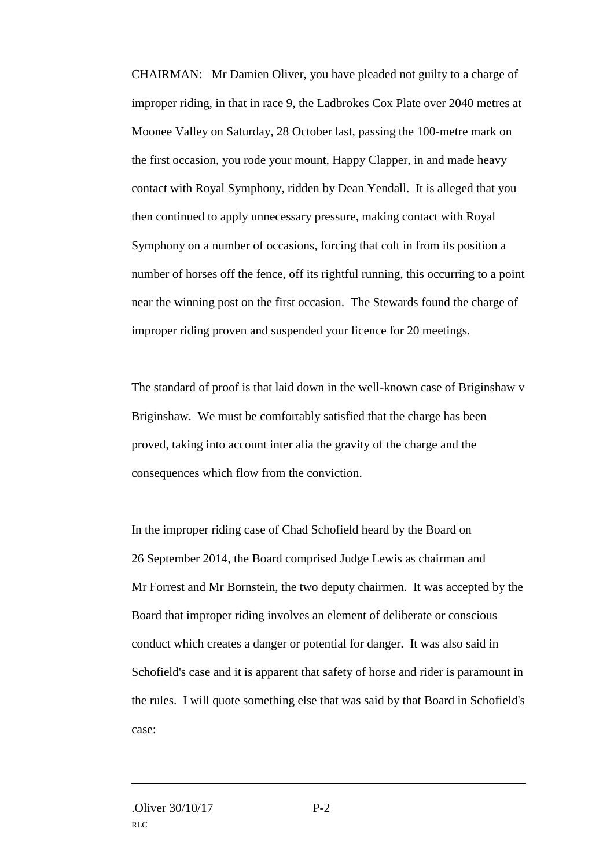CHAIRMAN: Mr Damien Oliver, you have pleaded not guilty to a charge of improper riding, in that in race 9, the Ladbrokes Cox Plate over 2040 metres at Moonee Valley on Saturday, 28 October last, passing the 100-metre mark on the first occasion, you rode your mount, Happy Clapper, in and made heavy contact with Royal Symphony, ridden by Dean Yendall. It is alleged that you then continued to apply unnecessary pressure, making contact with Royal Symphony on a number of occasions, forcing that colt in from its position a number of horses off the fence, off its rightful running, this occurring to a point near the winning post on the first occasion. The Stewards found the charge of improper riding proven and suspended your licence for 20 meetings.

The standard of proof is that laid down in the well-known case of Briginshaw v Briginshaw. We must be comfortably satisfied that the charge has been proved, taking into account inter alia the gravity of the charge and the consequences which flow from the conviction.

In the improper riding case of Chad Schofield heard by the Board on 26 September 2014, the Board comprised Judge Lewis as chairman and Mr Forrest and Mr Bornstein, the two deputy chairmen. It was accepted by the Board that improper riding involves an element of deliberate or conscious conduct which creates a danger or potential for danger. It was also said in Schofield's case and it is apparent that safety of horse and rider is paramount in the rules. I will quote something else that was said by that Board in Schofield's case: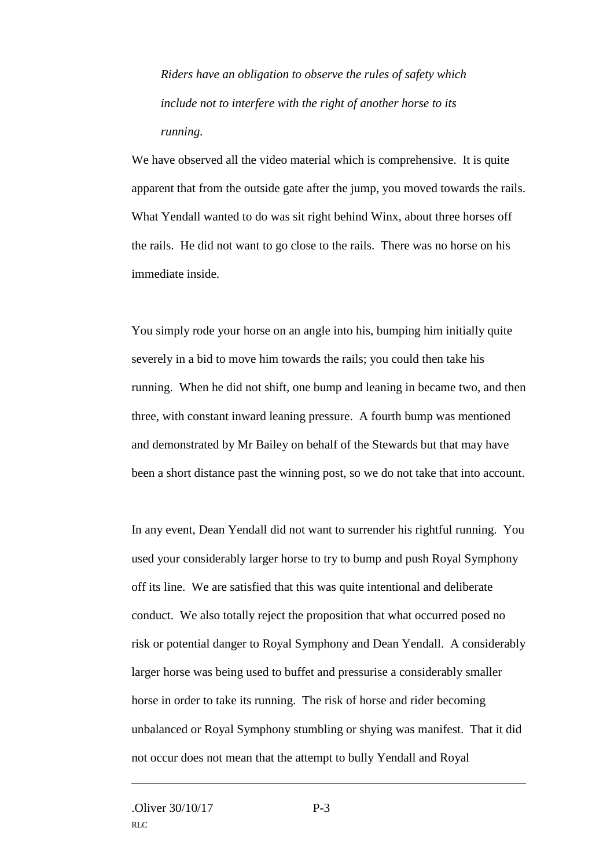*Riders have an obligation to observe the rules of safety which include not to interfere with the right of another horse to its running.*

We have observed all the video material which is comprehensive. It is quite apparent that from the outside gate after the jump, you moved towards the rails. What Yendall wanted to do was sit right behind Winx, about three horses off the rails. He did not want to go close to the rails. There was no horse on his immediate inside.

You simply rode your horse on an angle into his, bumping him initially quite severely in a bid to move him towards the rails; you could then take his running. When he did not shift, one bump and leaning in became two, and then three, with constant inward leaning pressure. A fourth bump was mentioned and demonstrated by Mr Bailey on behalf of the Stewards but that may have been a short distance past the winning post, so we do not take that into account.

In any event, Dean Yendall did not want to surrender his rightful running. You used your considerably larger horse to try to bump and push Royal Symphony off its line. We are satisfied that this was quite intentional and deliberate conduct. We also totally reject the proposition that what occurred posed no risk or potential danger to Royal Symphony and Dean Yendall. A considerably larger horse was being used to buffet and pressurise a considerably smaller horse in order to take its running. The risk of horse and rider becoming unbalanced or Royal Symphony stumbling or shying was manifest. That it did not occur does not mean that the attempt to bully Yendall and Royal